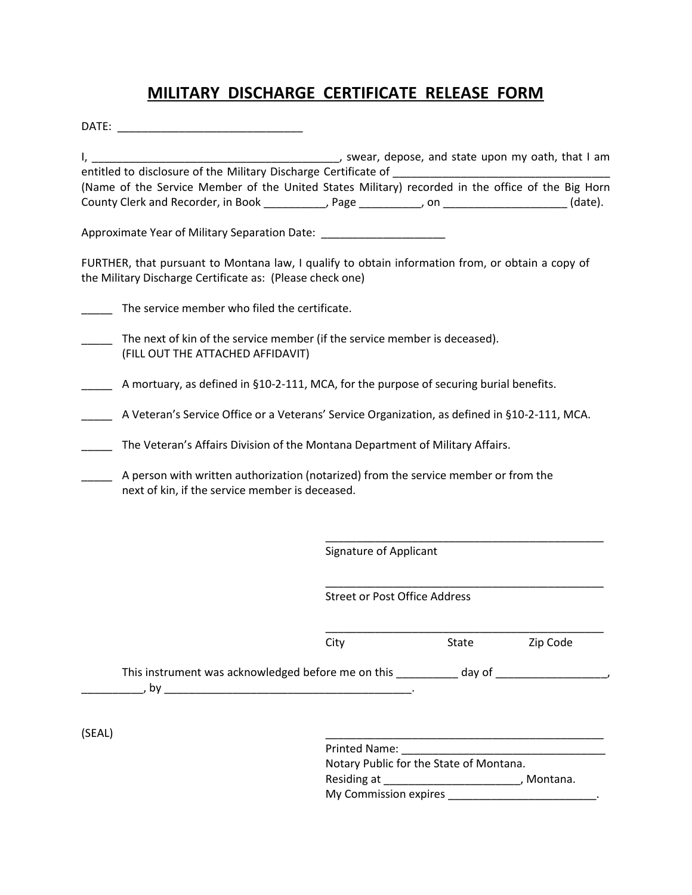## **MILITARY DISCHARGE CERTIFICATE RELEASE FORM**

| DATE:  |                                                                                                                                                                                        |                                                                                                    |                                      |                                                                            |
|--------|----------------------------------------------------------------------------------------------------------------------------------------------------------------------------------------|----------------------------------------------------------------------------------------------------|--------------------------------------|----------------------------------------------------------------------------|
| I, ___ |                                                                                                                                                                                        |                                                                                                    |                                      | ________________________, swear, depose, and state upon my oath, that I am |
|        | entitled to disclosure of the Military Discharge Certificate of Learning and Service and Service and Service and                                                                       |                                                                                                    |                                      |                                                                            |
|        | (Name of the Service Member of the United States Military) recorded in the office of the Big Horn<br>County Clerk and Recorder, in Book __________, Page _________, on _______________ |                                                                                                    |                                      | (date).                                                                    |
|        | Approximate Year of Military Separation Date: __________________________________                                                                                                       |                                                                                                    |                                      |                                                                            |
|        | FURTHER, that pursuant to Montana law, I qualify to obtain information from, or obtain a copy of<br>the Military Discharge Certificate as: (Please check one)                          |                                                                                                    |                                      |                                                                            |
|        | The service member who filed the certificate.                                                                                                                                          |                                                                                                    |                                      |                                                                            |
|        | The next of kin of the service member (if the service member is deceased).<br>(FILL OUT THE ATTACHED AFFIDAVIT)                                                                        |                                                                                                    |                                      |                                                                            |
|        | A mortuary, as defined in §10-2-111, MCA, for the purpose of securing burial benefits.                                                                                                 |                                                                                                    |                                      |                                                                            |
|        | A Veteran's Service Office or a Veterans' Service Organization, as defined in §10-2-111, MCA.                                                                                          |                                                                                                    |                                      |                                                                            |
|        | The Veteran's Affairs Division of the Montana Department of Military Affairs.                                                                                                          |                                                                                                    |                                      |                                                                            |
|        | A person with written authorization (notarized) from the service member or from the<br>next of kin, if the service member is deceased.                                                 |                                                                                                    |                                      |                                                                            |
|        |                                                                                                                                                                                        | Signature of Applicant                                                                             |                                      |                                                                            |
|        |                                                                                                                                                                                        |                                                                                                    | <b>Street or Post Office Address</b> |                                                                            |
|        |                                                                                                                                                                                        | City                                                                                               | State                                | Zip Code                                                                   |
|        |                                                                                                                                                                                        |                                                                                                    |                                      |                                                                            |
|        |                                                                                                                                                                                        |                                                                                                    |                                      |                                                                            |
| (SEAL) |                                                                                                                                                                                        |                                                                                                    |                                      |                                                                            |
|        |                                                                                                                                                                                        | Notary Public for the State of Montana.<br>Residing at _________________________________, Montana. |                                      |                                                                            |
|        |                                                                                                                                                                                        |                                                                                                    |                                      |                                                                            |